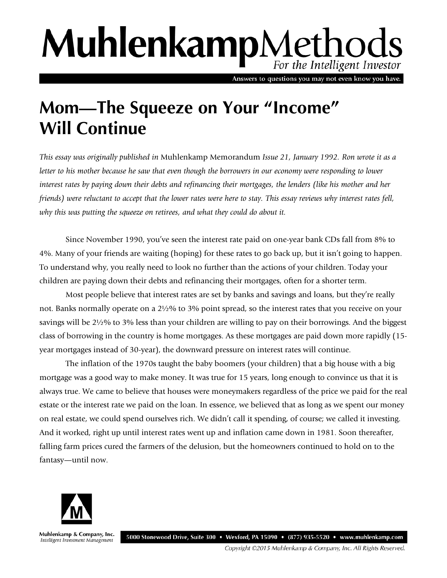# MuhlenkampMethods For the Intelligent Investor

Answers to questions you may not even know you have.

## **Mom—The Squeeze on Your "Income" Will Continue**

*This essay was originally published in* Muhlenkamp Memorandum *Issue 21, January 1992. Ron wrote it as a letter to his mother because he saw that even though the borrowers in our economy were responding to lower interest rates by paying down their debts and refinancing their mortgages, the lenders (like his mother and her friends) were reluctant to accept that the lower rates were here to stay. This essay reviews why interest rates fell, why this was putting the squeeze on retirees, and what they could do about it.*

Since November 1990, you've seen the interest rate paid on one-year bank CDs fall from 8% to 4%. Many of your friends are waiting (hoping) for these rates to go back up, but it isn't going to happen. To understand why, you really need to look no further than the actions of your children. Today your children are paying down their debts and refinancing their mortgages, often for a shorter term.

Most people believe that interest rates are set by banks and savings and loans, but they're really not. Banks normally operate on a 2½% to 3% point spread, so the interest rates that you receive on your savings will be 2½% to 3% less than your children are willing to pay on their borrowings. And the biggest class of borrowing in the country is home mortgages. As these mortgages are paid down more rapidly (15 year mortgages instead of 30-year), the downward pressure on interest rates will continue.

The inflation of the 1970s taught the baby boomers (your children) that a big house with a big mortgage was a good way to make money. It was true for 15 years, long enough to convince us that it is always true. We came to believe that houses were moneymakers regardless of the price we paid for the real estate or the interest rate we paid on the loan. In essence, we believed that as long as we spent our money on real estate, we could spend ourselves rich. We didn't call it spending, of course; we called it investing. And it worked, right up until interest rates went up and inflation came down in 1981. Soon thereafter, falling farm prices cured the farmers of the delusion, but the homeowners continued to hold on to the fantasy—until now.



Muhlenkamp & Company, Inc. 5000 Stonewood Drive, Suite 300 • Wexford, PA 15090 • (877) 935-5520 • www.muhlenkamp.com Intelligent Investment Management

Copyright ©2015 Muhlenkamp & Company, Inc. All Rights Reserved.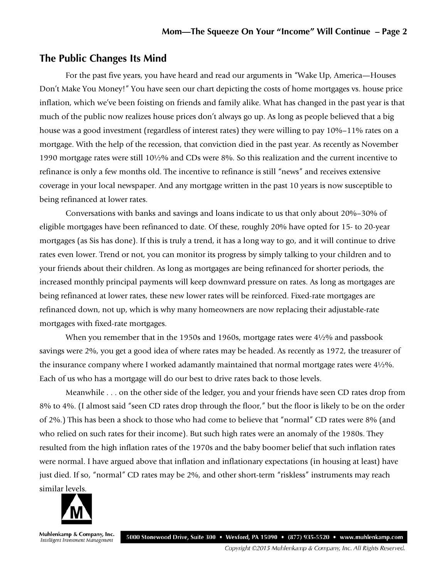#### **The Public Changes Its Mind**

For the past five years, you have heard and read our arguments in "Wake Up, America—Houses Don't Make You Money!" You have seen our chart depicting the costs of home mortgages vs. house price inflation, which we've been foisting on friends and family alike. What has changed in the past year is that much of the public now realizes house prices don't always go up. As long as people believed that a big house was a good investment (regardless of interest rates) they were willing to pay 10%–11% rates on a mortgage. With the help of the recession, that conviction died in the past year. As recently as November 1990 mortgage rates were still 10½% and CDs were 8%. So this realization and the current incentive to refinance is only a few months old. The incentive to refinance is still "news" and receives extensive coverage in your local newspaper. And any mortgage written in the past 10 years is now susceptible to being refinanced at lower rates.

Conversations with banks and savings and loans indicate to us that only about 20%–30% of eligible mortgages have been refinanced to date. Of these, roughly 20% have opted for 15- to 20-year mortgages (as Sis has done). If this is truly a trend, it has a long way to go, and it will continue to drive rates even lower. Trend or not, you can monitor its progress by simply talking to your children and to your friends about their children. As long as mortgages are being refinanced for shorter periods, the increased monthly principal payments will keep downward pressure on rates. As long as mortgages are being refinanced at lower rates, these new lower rates will be reinforced. Fixed-rate mortgages are refinanced down, not up, which is why many homeowners are now replacing their adjustable-rate mortgages with fixed-rate mortgages.

When you remember that in the 1950s and 1960s, mortgage rates were 4½% and passbook savings were 2%, you get a good idea of where rates may be headed. As recently as 1972, the treasurer of the insurance company where I worked adamantly maintained that normal mortgage rates were 4½%. Each of us who has a mortgage will do our best to drive rates back to those levels.

Meanwhile . . . on the other side of the ledger, you and your friends have seen CD rates drop from 8% to 4%. (I almost said "seen CD rates drop through the floor," but the floor is likely to be on the order of 2%.) This has been a shock to those who had come to believe that "normal" CD rates were 8% (and who relied on such rates for their income). But such high rates were an anomaly of the 1980s. They resulted from the high inflation rates of the 1970s and the baby boomer belief that such inflation rates were normal. I have argued above that inflation and inflationary expectations (in housing at least) have just died. If so, "normal" CD rates may be 2%, and other short-term "riskless" instruments may reach similar levels.



Muhlenkamp & Company, Inc. Intelligent Investment Management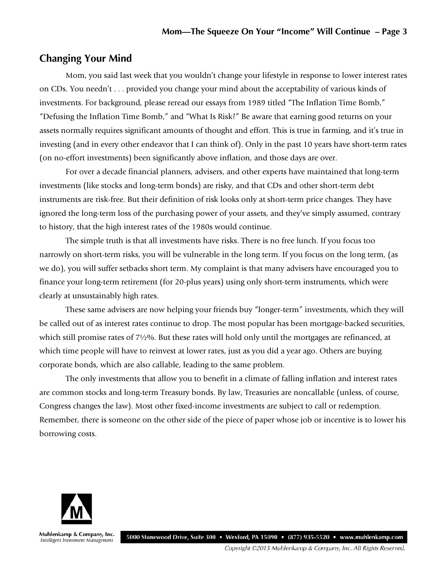#### **Changing Your Mind**

Mom, you said last week that you wouldn't change your lifestyle in response to lower interest rates on CDs. You needn't . . . provided you change your mind about the acceptability of various kinds of investments. For background, please reread our essays from 1989 titled "The Inflation Time Bomb," "Defusing the Inflation Time Bomb," and "What Is Risk?" Be aware that earning good returns on your assets normally requires significant amounts of thought and effort. This is true in farming, and it's true in investing (and in every other endeavor that I can think of). Only in the past 10 years have short-term rates (on no-effort investments) been significantly above inflation, and those days are over.

For over a decade financial planners, advisers, and other experts have maintained that long-term investments (like stocks and long-term bonds) are risky, and that CDs and other short-term debt instruments are risk-free. But their definition of risk looks only at short-term price changes. They have ignored the long-term loss of the purchasing power of your assets, and they've simply assumed, contrary to history, that the high interest rates of the 1980s would continue.

The simple truth is that all investments have risks. There is no free lunch. If you focus too narrowly on short-term risks, you will be vulnerable in the long term. If you focus on the long term, (as we do), you will suffer setbacks short term. My complaint is that many advisers have encouraged you to finance your long-term retirement (for 20-plus years) using only short-term instruments, which were clearly at unsustainably high rates.

These same advisers are now helping your friends buy "longer-term" investments, which they will be called out of as interest rates continue to drop. The most popular has been mortgage-backed securities, which still promise rates of 7½%. But these rates will hold only until the mortgages are refinanced, at which time people will have to reinvest at lower rates, just as you did a year ago. Others are buying corporate bonds, which are also callable, leading to the same problem.

The only investments that allow you to benefit in a climate of falling inflation and interest rates are common stocks and long-term Treasury bonds. By law, Treasuries are noncallable (unless, of course, Congress changes the law). Most other fixed-income investments are subject to call or redemption. Remember, there is someone on the other side of the piece of paper whose job or incentive is to lower his borrowing costs.



Muhlenkamp & Company, Inc. Intelligent Investment Management

5000 Stonewood Drive, Suite 300 • Wexford, PA 15090 • (877) 935-5520 • www.muhlenkamp.com

Copyright ©2015 Muhlenkamp & Company, Inc. All Rights Reserved.